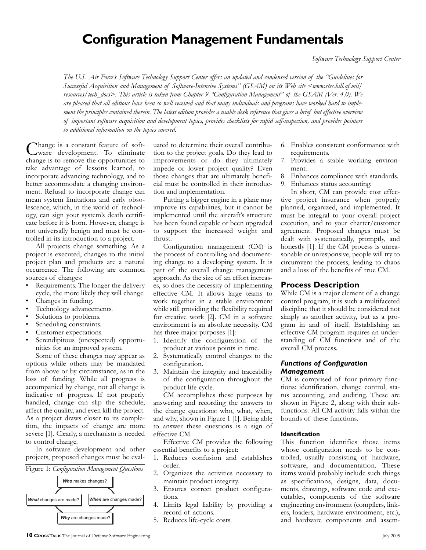# **Configuration Management Fundamentals**

*The U.S. Air Force's Software Technology Support Center offers an updated and condensed version of the "Guidelines for Successful Acquisition and Management of Software-Intensive Systems" (GSAM) on its Web site <www.stsc.hill.af.mil/ resources/tech\_docs>. This article is taken from Chapter 9 "Configuration Management" of the GSAM (Ver. 4.0). We are pleased that all editions have been so well received and that many individuals and programs have worked hard to implement the principles contained therein. The latest edition provides a usable desk reference that gives a brief but effective overview of important software acquisition and development topics, provides checklists for rapid self-inspection, and provides pointers to additional information on the topics covered.*

hange is a constant feature of software development. To eliminate change is to remove the opportunities to take advantage of lessons learned, to incorporate advancing technology, and to better accommodate a changing environment. Refusal to incorporate change can mean system limitations and early obsolescence, which, in the world of technology, can sign your system's death certificate before it is born. However, change is not universally benign and must be controlled in its introduction to a project.

All projects change something. As a project is executed, changes to the initial project plan and products are a natural occurrence. The following are common sources of changes:

- Requirements. The longer the delivery cycle, the more likely they will change.
- Changes in funding.
- Technology advancements.
- Solutions to problems.
- Scheduling constraints.
- Customer expectations.
- Serendipitous (unexpected) opportunities for an improved system.

Some of these changes may appear as options while others may be mandated from above or by circumstance, as in the loss of funding. While all progress is accompanied by change, not all change is indicative of progress. If not properly handled, change can slip the schedule, affect the quality, and even kill the project. As a project draws closer to its completion, the impacts of change are more severe [1]. Clearly, a mechanism is needed to control change.

In software development and other projects, proposed changes must be eval-





uated to determine their overall contribution to the project goals. Do they lead to improvements or do they ultimately impede or lower project quality? Even those changes that are ultimately beneficial must be controlled in their introduction and implementation.

Putting a bigger engine in a plane may improve its capabilities, but it cannot be implemented until the aircraft's structure has been found capable or been upgraded to support the increased weight and thrust.

Configuration management (CM) is the process of controlling and documenting change to a developing system. It is part of the overall change management approach. As the size of an effort increases, so does the necessity of implementing effective CM. It allows large teams to work together in a stable environment while still providing the flexibility required for creative work [2]. CM in a software environment is an absolute necessity. CM has three major purposes [1]:

- 1. Identify the configuration of the product at various points in time.
- 2. Systematically control changes to the configuration.
- 3. Maintain the integrity and traceability of the configuration throughout the product life cycle.

CM accomplishes these purposes by answering and recording the answers to the change questions: who, what, when, and why, shown in Figure 1 [1]. Being able to answer these questions is a sign of effective CM.

Effective CM provides the following essential benefits to a project:

- 1. Reduces confusion and establishes order.
- 2. Organizes the activities necessary to maintain product integrity.
- 3. Ensures correct product configurations.
- 4. Limits legal liability by providing a record of actions.
- 5. Reduces life-cycle costs.
- 6. Enables consistent conformance with requirements.
- 7. Provides a stable working environment.
- 8. Enhances compliance with standards.
- 9. Enhances status accounting.

In short, CM can provide cost effective project insurance when properly planned, organized, and implemented. It must be integral to your overall project execution, and to your charter/customer agreement. Proposed changes must be dealt with systematically, promptly, and honestly [1]. If the CM process is unreasonable or unresponsive, people will try to circumvent the process, leading to chaos and a loss of the benefits of true CM.

#### **Process Description**

While CM is a major element of a change control program, it is such a multifaceted discipline that it should be considered not simply as another activity, but as a program in and of itself. Establishing an effective CM program requires an understanding of CM functions and of the overall CM process.

#### *Functions of Configuration Management*

CM is comprised of four primary functions: identification, change control, status accounting, and auditing. These are shown in Figure 2, along with their subfunctions. All CM activity falls within the bounds of these functions.

#### **Identification**

This function identifies those items whose configuration needs to be controlled, usually consisting of hardware, software, and documentation. These items would probably include such things as specifications, designs, data, documents, drawings, software code and executables, components of the software engineering environment (compilers, linkers, loaders, hardware environment, etc.), and hardware components and assem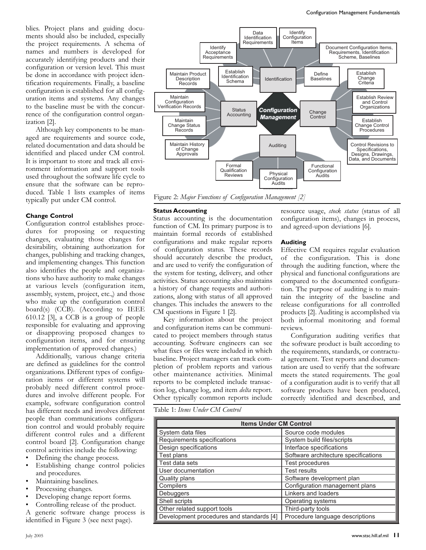blies. Project plans and guiding documents should also be included, especially the project requirements. A schema of names and numbers is developed for accurately identifying products and their configuration or version level. This must be done in accordance with project identification requirements. Finally, a baseline configuration is established for all configuration items and systems. Any changes to the baseline must be with the concurrence of the configuration control organization [2].

Although key components to be managed are requirements and source code, related documentation and data should be identified and placed under CM control. It is important to store and track all environment information and support tools used throughout the software life cycle to ensure that the software can be reproduced. Table 1 lists examples of items typically put under CM control.

#### **Change Control**

Configuration control establishes procedures for proposing or requesting changes, evaluating those changes for desirability, obtaining authorization for changes, publishing and tracking changes, and implementing changes. This function also identifies the people and organizations who have authority to make changes at various levels (configuration item, assembly, system, project, etc.,) and those who make up the configuration control board(s) (CCB). (According to IEEE 610.12 [3], a CCB is a group of people responsible for evaluating and approving or disapproving proposed changes to configuration items, and for ensuring implementation of approved changes.)

Additionally, various change criteria are defined as guidelines for the control organizations. Different types of configuration items or different systems will probably need different control procedures and involve different people. For example, software configuration control has different needs and involves different people than communications configuration control and would probably require different control rules and a different control board [2]. Configuration change control activities include the following:

- Defining the change process.
- Establishing change control policies and procedures.
- Maintaining baselines.
- Processing changes.
- Developing change report forms.
- Controlling release of the product.

A generic software change process is identified in Figure 3 (see next page).



Figure 2: *Major Functions of Configuration Management [2]*

#### **Status Accounting**

Figure 2: **Status accounting** is the documentation configuration ite function of CM. Its primary purpose is to maintain formal records of established configurations and make regular reports of configuration status. These records should accurately describe the product, and are used to verify the configuration of the system for testing, delivery, and other activities. Status accounting also maintains a history of change requests and authorizations, along with status of all approved changes. This includes the answers to the CM questions in Figure 1 [2].

Key information about the project and configuration items can be communicated to project members through status accounting. Software engineers can see what fixes or files were included in which baseline. Project managers can track completion of problem reports and various other maintenance activities. Minimal reports to be completed include transaction log, change log, and item *delta* report. Other typically common reports include

resource usage, *stock status* (status of all configuration items), changes in process, and agreed-upon deviations [6].

#### **Auditing**

Effective CM requires regular evaluation of the configuration. This is done through the auditing function, where the physical and functional configurations are compared to the documented configuration. The purpose of auditing is to maintain the integrity of the baseline and release configurations for all controlled products [2]. Auditing is accomplished via whout the project both informal monitoring and formal reviews.

> Configuration auditing verifies that the software product is built according to the requirements, standards, or contractual agreement. Test reports and documentation are used to verify that the software meets the stated requirements. The goal of a configuration audit is to verify that all software products have been produced, correctly identified and described, and

Table 1: *Items Under CM Control*

| <b>Items Under CM Control</b>            |                                      |
|------------------------------------------|--------------------------------------|
| System data files                        | Source code modules                  |
| Requirements specifications              | System build files/scripts           |
| Design specifications                    | Interface specifications             |
| Test plans                               | Software architecture specifications |
| Test data sets                           | Test procedures                      |
| User documentation                       | <b>Test results</b>                  |
| Quality plans                            | Software development plan            |
| Compilers                                | Configuration management plans       |
| Debuggers                                | Linkers and loaders                  |
| Shell scripts                            | Operating systems                    |
| Other related support tools              | Third-party tools                    |
| Development procedures and standards [4] | Procedure language descriptions      |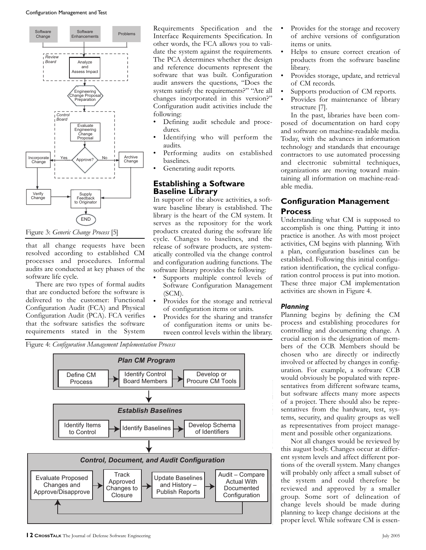

Figure 3: *Generic Change Process* [5]

that all change requests have been resolved according to established CM processes and procedures. Informal Process processes and procedures. Informal and configulations and configulation and configulation. software life cycle. *Plan CM Program*  $\frac{1}{2}$  members to  $L = 1$   $CM$  $P$ <sup> $\alpha$ </sup>

There are two types of formal audits that are conducted before the software is that are conducted before the software is<br>delivered to the customer: Functional Configuration Audit (FCA) and Physical Configuration Audit (PCA). FCA verifies that the software satisfies the software requirements stated in the System ate Proposed Update Baselines

Requirements Specification and the Interface Requirements Specification. In other words, the FCA allows you to validate the system against the requirements. The PCA determines whether the design and reference documents represent the software that was built. Configuration audit answers the questions, "Does the system satisfy the requirements?" "Are all changes incorporated in this version?" Configuration audit activities include the following:

- onowing:<br>• Defining audit schedule and procedures.
	- Identifying who will perform the audits.
- Performing audits on established | baselines. Analyze and
	- Generating audit reports.

# **Establishing a Software** Baseline Library

In support of the above activities, a software baseline library is established. The library is the heart of the CM system. It serves as the repository for the work products created during the software life cycle. Changes to baselines, and the release of software products, are systematically controlled via the change control cedures. Informal and configuration auditing functions. The software library provides the following:

- Supports multiple control levels of Software Configuration Management (SCM).
- Provides for the storage and retrieval of configuration items or units.
- <sup>5</sup> Provides for the sharing and transfer of configuration items or units beem tween control levels within the library.





- Provides for the storage and recovery of archive versions of configuration items or units.
- Helps to ensure correct creation of products from the software baseline library.
- Provides storage, update, and retrieval of CM records.
- Supports production of CM reports.
- Provides for maintenance of library structure [7].

In the past, libraries have been composed of documentation on hard copy and software on machine-readable media. Today, with the advances in information technology and standards that encourage contractors to use automated processing and electronic submittal techniques, organizations are moving toward maintaining all information on machine-readable media.

# **Configuration Management Process**

Understanding what CM is supposed to accomplish is one thing. Putting it into practice is another. As with most project activities, CM begins with planning. With a plan, configuration baselines can be established. Following this initial configuration identification, the cyclical configuration control process is put into motion. These three major CM implementation activities are shown in Figure 4.

### *Planning*

Planning begins by defining the CM process and establishing procedures for controlling and documenting change. A crucial action is the designation of members of the CCB. Members should be chosen who are directly or indirectly involved or affected by changes in configuration. For example, a software CCB would obviously be populated with representatives from different software teams, but software affects many more aspects of a project. There should also be representatives from the hardware, test, systems, security, and quality groups as well as representatives from project management and possible other organizations.

Not all changes would be reviewed by this august body. Changes occur at different system levels and affect different portions of the overall system. Many changes will probably only affect a small subset of the system and could therefore be reviewed and approved by a smaller group. Some sort of delineation of change levels should be made during planning to keep change decisions at the proper level. While software CM is essen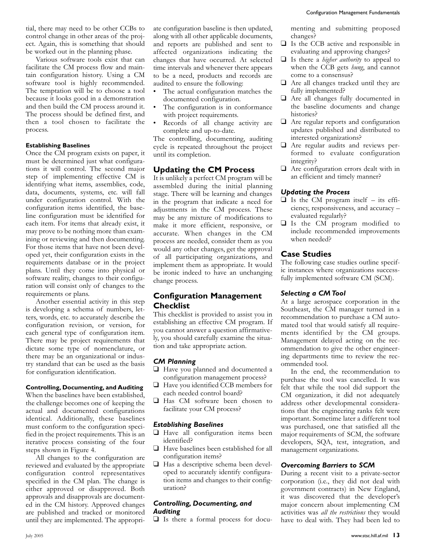tial, there may need to be other CCBs to control change in other areas of the project. Again, this is something that should be worked out in the planning phase.

Various software tools exist that can facilitate the CM process flow and maintain configuration history. Using a CM software tool is highly recommended. The temptation will be to choose a tool because it looks good in a demonstration and then build the CM process around it. The process should be defined first, and then a tool chosen to facilitate the process.

#### **Establishing Baselines**

Once the CM program exists on paper, it must be determined just what configurations it will control. The second major step of implementing effective CM is identifying what items, assemblies, code, data, documents, systems, etc. will fall under configuration control. With the configuration items identified, the baseline configuration must be identified for each item. For items that already exist, it may prove to be nothing more than examining or reviewing and then documenting. For those items that have not been developed yet, their configuration exists in the requirements database or in the project plans. Until they come into physical or software reality, changes to their configuration will consist only of changes to the requirements or plans.

Another essential activity in this step is developing a schema of numbers, letters, words, etc. to accurately describe the configuration revision, or version, for each general type of configuration item. There may be project requirements that dictate some type of nomenclature, or there may be an organizational or industry standard that can be used as the basis for configuration identification.

### **Controlling, Documenting, and Auditing**

When the baselines have been established, the challenge becomes one of keeping the actual and documented configurations identical. Additionally, these baselines must conform to the configuration specified in the project requirements. This is an iterative process consisting of the four steps shown in Figure 4.

All changes to the configuration are reviewed and evaluated by the appropriate configuration control representatives specified in the CM plan. The change is either approved or disapproved. Both approvals and disapprovals are documented in the CM history. Approved changes are published and tracked or monitored until they are implemented. The appropriate configuration baseline is then updated, along with all other applicable documents, and reports are published and sent to affected organizations indicating the changes that have occurred. At selected time intervals and whenever there appears to be a need, products and records are audited to ensure the following:

- The actual configuration matches the documented configuration.
- The configuration is in conformance with project requirements.
- Records of all change activity are complete and up-to-date.

The controlling, documenting, auditing cycle is repeated throughout the project until its completion.

# **Updating the CM Process**

It is unlikely a perfect CM program will be assembled during the initial planning stage. There will be learning and changes in the program that indicate a need for adjustments in the CM process. These may be any mixture of modifications to make it more efficient, responsive, or accurate. When changes in the CM process are needed, consider them as you would any other changes, get the approval of all participating organizations, and implement them as appropriate. It would be ironic indeed to have an unchanging change process.

# **Configuration Management Checklist**

This checklist is provided to assist you in establishing an effective CM program. If you cannot answer a question affirmatively, you should carefully examine the situation and take appropriate action.

# *CM Planning*

- ❑ Have you planned and documented a configuration management process?
- ❑ Have you identified CCB members for each needed control board?
- ❑ Has CM software been chosen to facilitate your CM process?

# *Establishing Baselines*

- ❑ Have all configuration items been identified?
- ❑ Have baselines been established for all configuration items?
- ❑ Has a descriptive schema been developed to accurately identify configuration items and changes to their configuration?

#### *Controlling, Documenting, and Auditing*

❑ Is there a formal process for docu-

menting and submitting proposed changes?

- ❑ Is the CCB active and responsible in evaluating and approving changes?
- ❑ Is there a *higher authority* to appeal to when the CCB gets *hung*, and cannot come to a consensus?
- ❑ Are all changes tracked until they are fully implemented?
- ❑ Are all changes fully documented in the baseline documents and change histories?
- ❑ Are regular reports and configuration updates published and distributed to interested organizations?
- ❑ Are regular audits and reviews performed to evaluate configuration integrity?
- ❑ Are configuration errors dealt with in an efficient and timely manner?

# *Updating the Process*

- $\Box$  Is the CM program itself its efficiency, responsiveness, and accuracy – evaluated regularly?
- ❑ Is the CM program modified to include recommended improvements when needed?

### **Case Studies**

The following case studies outline specific instances where organizations successfully implemented software CM (SCM).

#### *Selecting a CM Tool*

At a large aerospace corporation in the Southeast, the CM manager turned in a recommendation to purchase a CM automated tool that would satisfy all requirements identified by the CM groups. Management delayed acting on the recommendation to give the other engineering departments time to review the recommended tool.

In the end, the recommendation to purchase the tool was cancelled. It was felt that while the tool did support the CM organization, it did not adequately address other developmental considerations that the engineering ranks felt were important. Sometime later a different tool was purchased, one that satisfied all the major requirements of SCM, the software developers, SQA, test, integration, and management organizations.

#### *Overcoming Barriers to SCM*

During a recent visit to a private-sector corporation (i.e., they did not deal with government contracts) in New England, it was discovered that the developer's major concern about implementing CM activities was *all the restrictions* they would have to deal with. They had been led to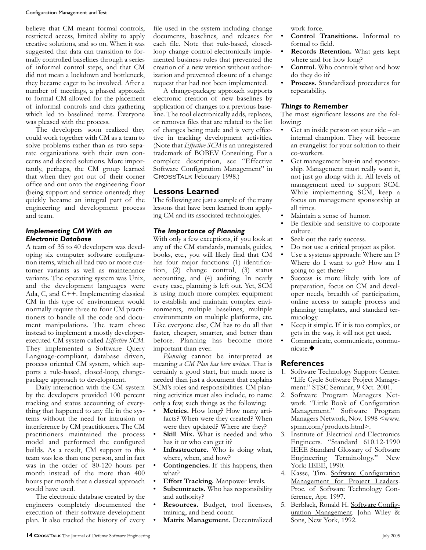#### Configuration Management and Test

believe that CM meant formal controls, restricted access, limited ability to apply creative solutions, and so on. When it was suggested that data can transition to formally controlled baselines through a series of informal control steps, and that CM did not mean a lockdown and bottleneck, they became eager to be involved. After a number of meetings, a phased approach to formal CM allowed for the placement of informal controls and data gathering which led to baselined items. Everyone was pleased with the process.

The developers soon realized they could work together with CM as a team to solve problems rather than as two separate organizations with their own concerns and desired solutions. More importantly, perhaps, the CM group learned that when they got out of their corner office and out onto the engineering floor (being support and service oriented) they quickly became an integral part of the engineering and development process and team.

#### *Implementing CM With an Electronic Database*

A team of 35 to 40 developers was developing six computer software configuration items, which all had two or more customer variants as well as maintenance variants. The operating system was Unix, and the development languages were Ada, C, and C++. Implementing classical CM in this type of environment would normally require three to four CM practitioners to handle all the code and document manipulations. The team chose instead to implement a mostly developerexecuted CM system called *Effective SCM*. They implemented a Software Query Language-compliant, database driven, process oriented CM system, which supports a rule-based, closed-loop, changepackage approach to development.

Daily interaction with the CM system by the developers provided 100 percent tracking and status accounting of everything that happened to any file in the systems without the need for intrusion or interference by CM practitioners. The CM practitioners maintained the process model and performed the configured builds. As a result, CM support to this team was less than one person, and in fact was in the order of 80-120 hours per month instead of the more than 400 hours per month that a classical approach would have used.

The electronic database created by the engineers completely documented the execution of their software development plan. It also tracked the history of every

file used in the system including change documents, baselines, and releases for each file. Note that rule-based, closedloop change control electronically implemented business rules that prevented the creation of a new version without authorization and prevented closure of a change request that had not been implemented.

A change-package approach supports electronic creation of new baselines by application of changes to a previous baseline. The tool electronically adds, replaces, or removes files that are related to the list of changes being made and is very effective in tracking development activities. (Note that *Effective SCM* is an unregistered trademark of BOBEV Consulting. For a complete description, see "Effective Software Configuration Management" in CrossTalk February 1998.)

#### **Lessons Learned**

The following are just a sample of the many lessons that have been learned from applying CM and its associated technologies.

#### *The Importance of Planning*

With only a few exceptions, if you look at any of the CM standards, manuals, guides, books, etc., you will likely find that CM has four major functions: (1) identification, (2) change control, (3) status accounting, and (4) auditing. In nearly every case, planning is left out. Yet, SCM is using much more complex equipment to establish and maintain complex environments, multiple baselines, multiple environments on multiple platforms, etc. Like everyone else, CM has to do all that faster, cheaper, smarter, and better than before. Planning has become more important than ever.

*Planning* cannot be interpreted as meaning *a CM Plan has been written*. That is certainly a good start, but much more is needed than just a document that explains SCM's roles and responsibilities. CM planning activities must also include, to name only a few, such things as the following:

- Metrics. How long? How many artifacts? When were they created? When were they updated? Where are they?
- **Skill Mix.** What is needed and who has it or who can get it?
- **Infrastructure.** Who is doing what, where, when, and how?
- **Contingencies.** If this happens, then what?
- **Effort Tracking.** Manpower levels.
- **Subcontracts.** Who has responsibility and authority?
- **Resources.** Budget, tool licenses, training, and head count.
- **Matrix Management.** Decentralized

work force.

- **Control Transitions.** Informal to formal to field.
- **Records Retention.** What gets kept where and for how long?
- **Control.** Who controls what and how do they do it?
- **Process.** Standardized procedures for repeatability.

#### *Things to Remember*

The most significant lessons are the following:

- Get an inside person on your side an internal champion. They will become an evangelist for your solution to their co-workers.
- Get management buy-in and sponsorship. Management must really want it, not just go along with it. All levels of management need to support SCM. While implementing SCM, keep a focus on management sponsorship at all times.
- Maintain a sense of humor.
- Be flexible and sensitive to corporate culture.
- Seek out the early success.
- Do not use a critical project as pilot.
- Use a systems approach: Where am I? Where do I want to go? How am I going to get there?
- Success is more likely with lots of preparation, focus on CM and developer needs, breadth of participation, online access to sample process and planning templates, and standard terminology.
- Keep it simple. If it is too complex, or gets in the way, it will not get used.
- Communicate, communicate, communicate.◆

#### **References**

- 1. Software Technology Support Center. "Life Cycle Software Project Management." STSC Seminar, 9 Oct. 2001.
- 2. Software Program Managers Network. "Little Book of Configuration Management." Software Program Managers Network, Nov. 1998 <www. spmn.com/products.html>.
- 3. Institute of Electrical and Electronics Engineers. "Standard 610.12-1990 IEEE Standard Glossary of Software Engineering Terminology." New York: IEEE, 1990.
- 4. Kasse, Tim. Software Configuration Management for Project Leaders. Proc. of Software Technology Conference, Apr. 1997.
- 5. Berblack, Ronald H. Software Configuration Management. John Wiley & Sons, New York, 1992.